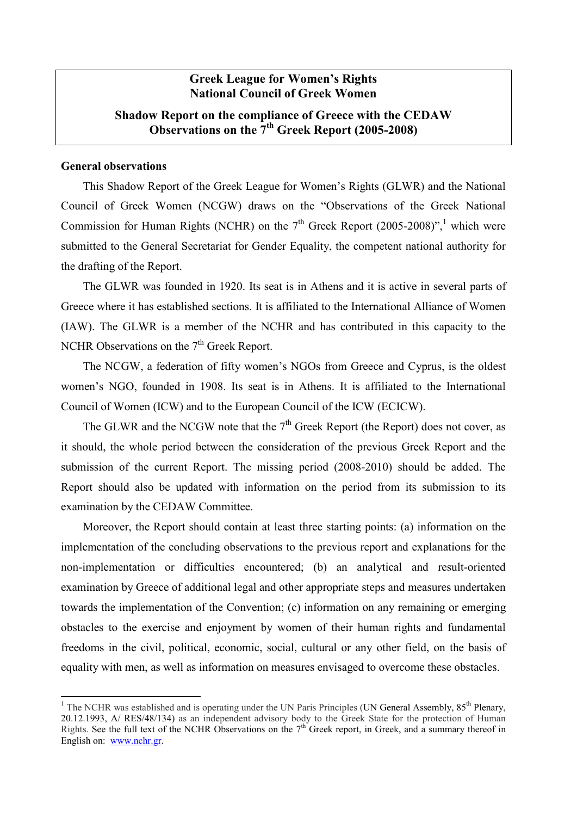# **Greek League for Women's Rights National Council of Greek Women**

# **Shadow Report on the compliance of Greece with the CEDAW Observations on the 7th Greek Report (2005-2008)**

### **General observations**

1

This Shadow Report of the Greek League for Women's Rights (GLWR) and the National Council of Greek Women (NCGW) draws on the "Observations of the Greek National Commission for Human Rights (NCHR) on the  $7<sup>th</sup>$  Greek Report (2005-2008)",<sup>1</sup> which were submitted to the General Secretariat for Gender Equality, the competent national authority for the drafting of the Report.

The GLWR was founded in 1920. Its seat is in Athens and it is active in several parts of Greece where it has established sections. It is affiliated to the International Alliance of Women (IAW). The GLWR is a member of the NCHR and has contributed in this capacity to the NCHR Observations on the  $7<sup>th</sup>$  Greek Report.

The NCGW, a federation of fifty women's NGOs from Greece and Cyprus, is the oldest women's NGO, founded in 1908. Its seat is in Athens. It is affiliated to the International Council of Women (ICW) and to the European Council of the ICW (ECICW).

The GLWR and the NCGW note that the  $7<sup>th</sup>$  Greek Report (the Report) does not cover, as it should, the whole period between the consideration of the previous Greek Report and the submission of the current Report. The missing period (2008-2010) should be added. The Report should also be updated with information on the period from its submission to its examination by the CEDAW Committee.

Moreover, the Report should contain at least three starting points: (a) information on the implementation of the concluding observations to the previous report and explanations for the non-implementation or difficulties encountered; (b) an analytical and result-oriented examination by Greece of additional legal and other appropriate steps and measures undertaken towards the implementation of the Convention; (c) information on any remaining or emerging obstacles to the exercise and enjoyment by women of their human rights and fundamental freedoms in the civil, political, economic, social, cultural or any other field, on the basis of equality with men, as well as information on measures envisaged to overcome these obstacles.

<sup>&</sup>lt;sup>1</sup> The NCHR was established and is operating under the UN Paris Principles (UN General Assembly,  $85<sup>th</sup>$  Plenary, 20.12.1993, A/ RES/48/134) as an independent advisory body to the Greek State for the protection of Human Rights. See the full text of the NCHR Observations on the  $7<sup>th</sup>$  Greek report, in Greek, and a summary thereof in English on: www.nchr.gr.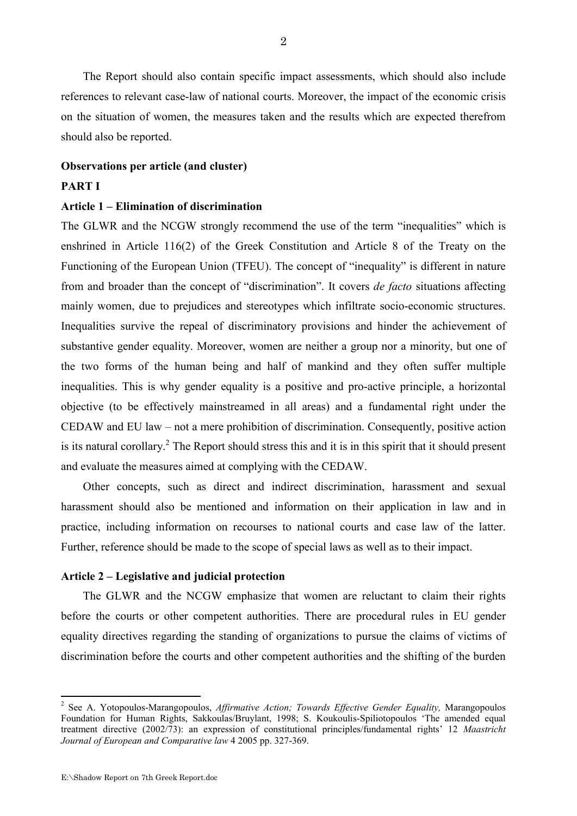The Report should also contain specific impact assessments, which should also include references to relevant case-law of national courts. Moreover, the impact of the economic crisis on the situation of women, the measures taken and the results which are expected therefrom should also be reported.

#### **Observations per article (and cluster)**

### **PART I**

### **Article 1 – Elimination of discrimination**

The GLWR and the NCGW strongly recommend the use of the term "inequalities" which is enshrined in Article 116(2) of the Greek Constitution and Article 8 of the Treaty on the Functioning of the European Union (TFEU). The concept of "inequality" is different in nature from and broader than the concept of "discrimination". It covers *de facto* situations affecting mainly women, due to prejudices and stereotypes which infiltrate socio-economic structures. Inequalities survive the repeal of discriminatory provisions and hinder the achievement of substantive gender equality. Moreover, women are neither a group nor a minority, but one of the two forms of the human being and half of mankind and they often suffer multiple inequalities. This is why gender equality is a positive and pro-active principle, a horizontal objective (to be effectively mainstreamed in all areas) and a fundamental right under the CEDAW and EU law – not a mere prohibition of discrimination. Consequently, positive action is its natural corollary.<sup>2</sup> The Report should stress this and it is in this spirit that it should present and evaluate the measures aimed at complying with the CEDAW.

Other concepts, such as direct and indirect discrimination, harassment and sexual harassment should also be mentioned and information on their application in law and in practice, including information on recourses to national courts and case law of the latter. Further, reference should be made to the scope of special laws as well as to their impact.

### **Article 2 – Legislative and judicial protection**

The GLWR and the NCGW emphasize that women are reluctant to claim their rights before the courts or other competent authorities. There are procedural rules in EU gender equality directives regarding the standing of organizations to pursue the claims of victims of discrimination before the courts and other competent authorities and the shifting of the burden

<sup>2</sup> See A. Yotopoulos-Marangopoulos, *Affirmative Action; Towards Effective Gender Equality,* Marangopoulos Foundation for Human Rights, Sakkoulas/Bruylant, 1998; S. Koukoulis-Spiliotopoulos 'The amended equal treatment directive (2002/73): an expression of constitutional principles/fundamental rights' 12 *Maastricht Journal of European and Comparative law* 4 2005 pp. 327-369.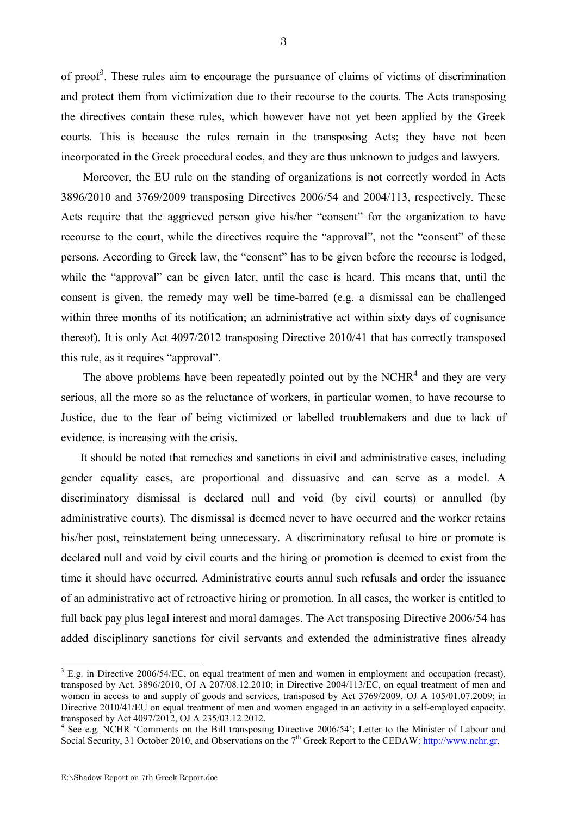of proof<sup>3</sup>. These rules aim to encourage the pursuance of claims of victims of discrimination and protect them from victimization due to their recourse to the courts. The Acts transposing the directives contain these rules, which however have not yet been applied by the Greek courts. This is because the rules remain in the transposing Acts; they have not been incorporated in the Greek procedural codes, and they are thus unknown to judges and lawyers.

Moreover, the EU rule on the standing of organizations is not correctly worded in Acts 3896/2010 and 3769/2009 transposing Directives 2006/54 and 2004/113, respectively. These Acts require that the aggrieved person give his/her "consent" for the organization to have recourse to the court, while the directives require the "approval", not the "consent" of these persons. According to Greek law, the "consent" has to be given before the recourse is lodged, while the "approval" can be given later, until the case is heard. This means that, until the consent is given, the remedy may well be time-barred (e.g. a dismissal can be challenged within three months of its notification; an administrative act within sixty days of cognisance thereof). It is only Act 4097/2012 transposing Directive 2010/41 that has correctly transposed this rule, as it requires "approval".

The above problems have been repeatedly pointed out by the  $NCHR<sup>4</sup>$  and they are very serious, all the more so as the reluctance of workers, in particular women, to have recourse to Justice, due to the fear of being victimized or labelled troublemakers and due to lack of evidence, is increasing with the crisis.

 It should be noted that remedies and sanctions in civil and administrative cases, including gender equality cases, are proportional and dissuasive and can serve as a model. A discriminatory dismissal is declared null and void (by civil courts) or annulled (by administrative courts). The dismissal is deemed never to have occurred and the worker retains his/her post, reinstatement being unnecessary. A discriminatory refusal to hire or promote is declared null and void by civil courts and the hiring or promotion is deemed to exist from the time it should have occurred. Administrative courts annul such refusals and order the issuance of an administrative act of retroactive hiring or promotion. In all cases, the worker is entitled to full back pay plus legal interest and moral damages. The Act transposing Directive 2006/54 has added disciplinary sanctions for civil servants and extended the administrative fines already

 $3$  E.g. in Directive 2006/54/EC, on equal treatment of men and women in employment and occupation (recast), transposed by Act. 3896/2010, OJ A 207/08.12.2010; in Directive 2004/113/EC, on equal treatment of men and women in access to and supply of goods and services, transposed by Act 3769/2009, OJ A 105/01.07.2009; in Directive 2010/41/EU on equal treatment of men and women engaged in an activity in a self-employed capacity, transposed by Act 4097/2012, OJ A 235/03.12.2012.

<sup>&</sup>lt;sup>4</sup> See e.g. NCHR 'Comments on the Bill transposing Directive 2006/54'; Letter to the Minister of Labour and Social Security, 31 October 2010, and Observations on the 7<sup>th</sup> Greek Report to the CEDAW: http://www.nchr.gr.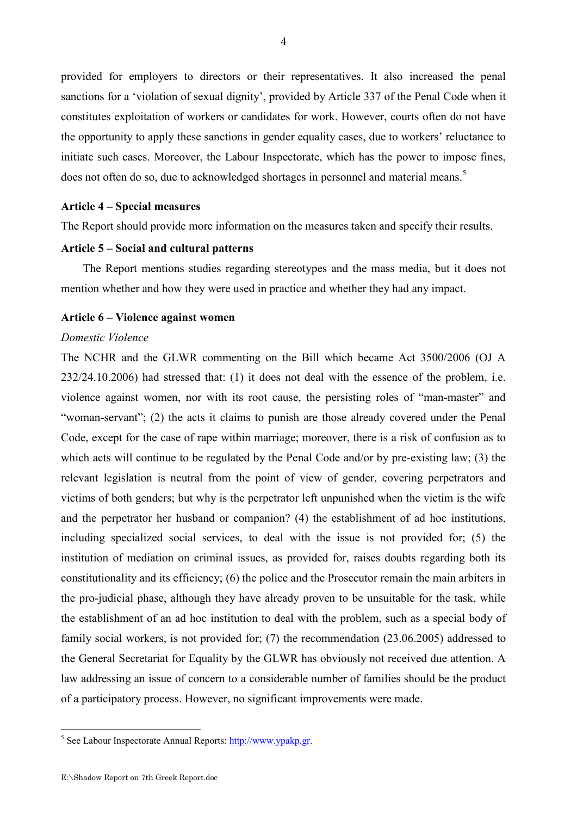provided for employers to directors or their representatives. It also increased the penal sanctions for a 'violation of sexual dignity', provided by Article 337 of the Penal Code when it constitutes exploitation of workers or candidates for work. However, courts often do not have the opportunity to apply these sanctions in gender equality cases, due to workers' reluctance to initiate such cases. Moreover, the Labour Inspectorate, which has the power to impose fines, does not often do so, due to acknowledged shortages in personnel and material means.<sup>5</sup>

### **Article 4 – Special measures**

The Report should provide more information on the measures taken and specify their results.

### **Article 5 – Social and cultural patterns**

The Report mentions studies regarding stereotypes and the mass media, but it does not mention whether and how they were used in practice and whether they had any impact.

### **Article 6 – Violence against women**

### *Domestic Violence*

The NCHR and the GLWR commenting on the Bill which became Act 3500/2006 (OJ A 232/24.10.2006) had stressed that: (1) it does not deal with the essence of the problem, i.e. violence against women, nor with its root cause, the persisting roles of "man-master" and "woman-servant"; (2) the acts it claims to punish are those already covered under the Penal Code, except for the case of rape within marriage; moreover, there is a risk of confusion as to which acts will continue to be regulated by the Penal Code and/or by pre-existing law; (3) the relevant legislation is neutral from the point of view of gender, covering perpetrators and victims of both genders; but why is the perpetrator left unpunished when the victim is the wife and the perpetrator her husband or companion? (4) the establishment of ad hoc institutions, including specialized social services, to deal with the issue is not provided for; (5) the institution of mediation on criminal issues, as provided for, raises doubts regarding both its constitutionality and its efficiency; (6) the police and the Prosecutor remain the main arbiters in the pro-judicial phase, although they have already proven to be unsuitable for the task, while the establishment of an ad hoc institution to deal with the problem, such as a special body of family social workers, is not provided for; (7) the recommendation (23.06.2005) addressed to the General Secretariat for Equality by the GLWR has obviously not received due attention. A law addressing an issue of concern to a considerable number of families should be the product of a participatory process. However, no significant improvements were made.

<sup>&</sup>lt;u>- Maria Communistic Communistic Communistic See Labour Inspectorate Annual Reports: http://www.ypakp.gr</u>.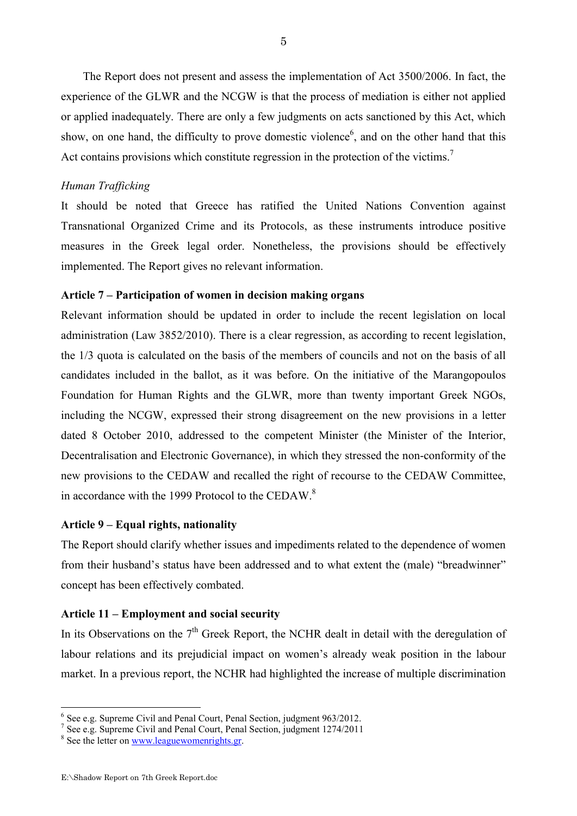The Report does not present and assess the implementation of Act 3500/2006. In fact, the experience of the GLWR and the NCGW is that the process of mediation is either not applied or applied inadequately. There are only a few judgments on acts sanctioned by this Act, which show, on one hand, the difficulty to prove domestic violence<sup>6</sup>, and on the other hand that this Act contains provisions which constitute regression in the protection of the victims.<sup>7</sup>

### *Human Trafficking*

It should be noted that Greece has ratified the United Nations Convention against Transnational Organized Crime and its Protocols, as these instruments introduce positive measures in the Greek legal order. Nonetheless, the provisions should be effectively implemented. The Report gives no relevant information.

# **Article 7 – Participation of women in decision making organs**

Relevant information should be updated in order to include the recent legislation on local administration (Law 3852/2010). There is a clear regression, as according to recent legislation, the 1/3 quota is calculated on the basis of the members of councils and not on the basis of all candidates included in the ballot, as it was before. On the initiative of the Marangopoulos Foundation for Human Rights and the GLWR, more than twenty important Greek NGOs, including the NCGW, expressed their strong disagreement on the new provisions in a letter dated 8 October 2010, addressed to the competent Minister (the Minister of the Interior, Decentralisation and Electronic Governance), in which they stressed the non-conformity of the new provisions to the CEDAW and recalled the right of recourse to the CEDAW Committee, in accordance with the 1999 Protocol to the CEDAW.<sup>8</sup>

### **Article 9 – Equal rights, nationality**

The Report should clarify whether issues and impediments related to the dependence of women from their husband's status have been addressed and to what extent the (male) "breadwinner" concept has been effectively combated.

### **Article 11 – Employment and social security**

In its Observations on the  $7<sup>th</sup>$  Greek Report, the NCHR dealt in detail with the deregulation of labour relations and its prejudicial impact on women's already weak position in the labour market. In a previous report, the NCHR had highlighted the increase of multiple discrimination

 6 See e.g. Supreme Civil and Penal Court, Penal Section, judgment 963/2012.

<sup>&</sup>lt;sup>7</sup> See e.g. Supreme Civil and Penal Court, Penal Section, judgment 1274/2011

<sup>&</sup>lt;sup>8</sup> See the letter on www.leaguewomenrights.gr.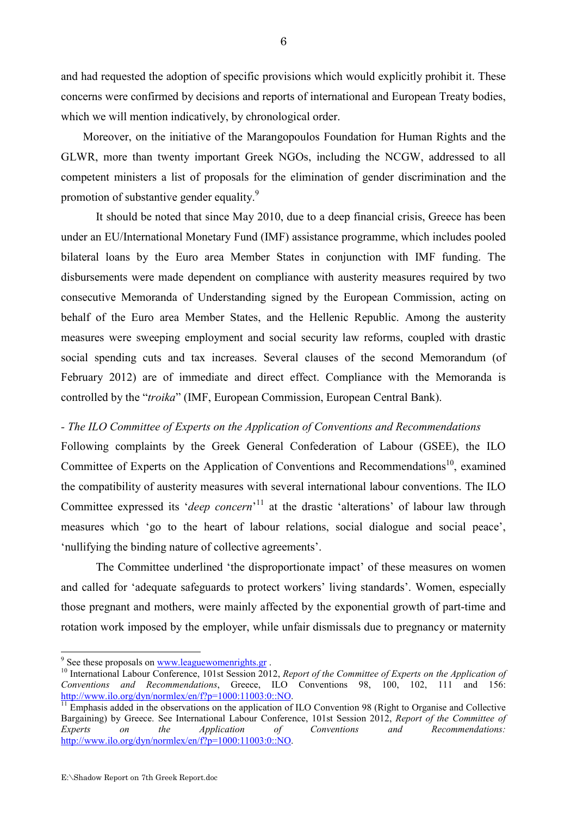and had requested the adoption of specific provisions which would explicitly prohibit it. These concerns were confirmed by decisions and reports of international and European Treaty bodies, which we will mention indicatively, by chronological order.

Moreover, on the initiative of the Marangopoulos Foundation for Human Rights and the GLWR, more than twenty important Greek NGOs, including the NCGW, addressed to all competent ministers a list of proposals for the elimination of gender discrimination and the promotion of substantive gender equality.<sup>9</sup>

 It should be noted that since May 2010, due to a deep financial crisis, Greece has been under an EU/International Monetary Fund (IMF) assistance programme, which includes pooled bilateral loans by the Euro area Member States in conjunction with IMF funding. The disbursements were made dependent on compliance with austerity measures required by two consecutive Memoranda of Understanding signed by the European Commission, acting on behalf of the Euro area Member States, and the Hellenic Republic. Among the austerity measures were sweeping employment and social security law reforms, coupled with drastic social spending cuts and tax increases. Several clauses of the second Memorandum (of February 2012) are of immediate and direct effect. Compliance with the Memoranda is controlled by the "*troika*" (IMF, European Commission, European Central Bank).

### *- The ILO Committee of Experts on the Application of Conventions and Recommendations*

Following complaints by the Greek General Confederation of Labour (GSEE), the ILO Committee of Experts on the Application of Conventions and Recommendations<sup>10</sup>, examined the compatibility of austerity measures with several international labour conventions. The ILO Committee expressed its '*deep concern*' <sup>11</sup> at the drastic 'alterations' of labour law through measures which 'go to the heart of labour relations, social dialogue and social peace', 'nullifying the binding nature of collective agreements'.

 The Committee underlined 'the disproportionate impact' of these measures on women and called for 'adequate safeguards to protect workers' living standards'. Women, especially those pregnant and mothers, were mainly affected by the exponential growth of part-time and rotation work imposed by the employer, while unfair dismissals due to pregnancy or maternity

<u>.</u>

<sup>&</sup>lt;sup>9</sup> See these proposals on <u>www.leaguewomenrights.gr</u>.

<sup>&</sup>lt;sup>10</sup> International Labour Conference, 101st Session 2012, *Report of the Committee of Experts on the Application of Conventions and Recommendations*, Greece, ILO Conventions 98, 100, 102, 111 and 156: http://www.ilo.org/dyn/normlex/en/f?p=1000:11003:0::NO.

 $\frac{11}{11}$  Emphasis added in the observations on the application of ILO Convention 98 (Right to Organise and Collective Bargaining) by Greece. See International Labour Conference, 101st Session 2012, *Report of the Committee of Experts* on the *Application* of *Conventions* and *Recommendations: Experts on the Application of Conventions and Recommendations:*  http://www.ilo.org/dyn/normlex/en/f?p=1000:11003:0::NO.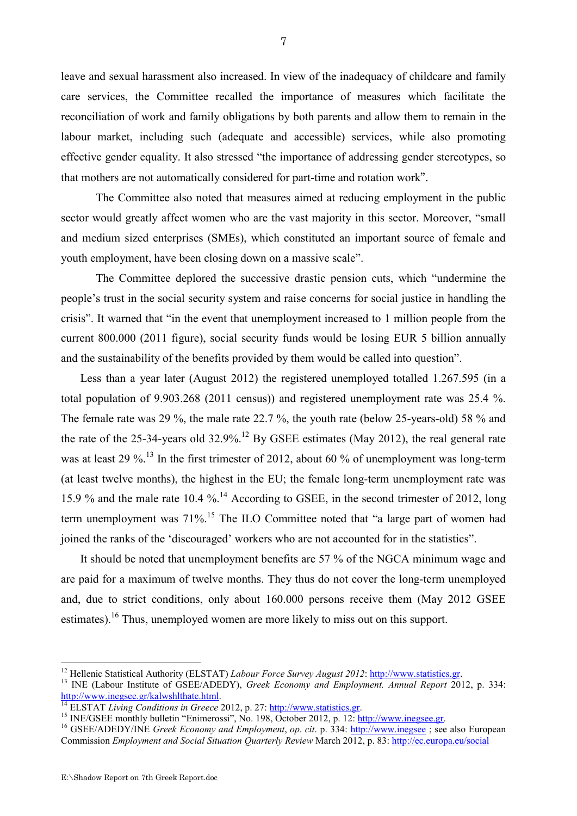leave and sexual harassment also increased. In view of the inadequacy of childcare and family care services, the Committee recalled the importance of measures which facilitate the reconciliation of work and family obligations by both parents and allow them to remain in the labour market, including such (adequate and accessible) services, while also promoting effective gender equality. It also stressed "the importance of addressing gender stereotypes, so that mothers are not automatically considered for part-time and rotation work".

 The Committee also noted that measures aimed at reducing employment in the public sector would greatly affect women who are the vast majority in this sector. Moreover, "small and medium sized enterprises (SMEs), which constituted an important source of female and youth employment, have been closing down on a massive scale".

 The Committee deplored the successive drastic pension cuts, which "undermine the people's trust in the social security system and raise concerns for social justice in handling the crisis". It warned that "in the event that unemployment increased to 1 million people from the current 800.000 (2011 figure), social security funds would be losing EUR 5 billion annually and the sustainability of the benefits provided by them would be called into question".

 Less than a year later (August 2012) the registered unemployed totalled 1.267.595 (in a total population of 9.903.268 (2011 census)) and registered unemployment rate was 25.4 %. The female rate was 29 %, the male rate 22.7 %, the youth rate (below 25-years-old) 58 % and the rate of the 25-34-years old 32.9%.<sup>12</sup> By GSEE estimates (May 2012), the real general rate was at least 29 %.<sup>13</sup> In the first trimester of 2012, about 60 % of unemployment was long-term (at least twelve months), the highest in the EU; the female long-term unemployment rate was 15.9 % and the male rate 10.4 %.<sup>14</sup> According to GSEE, in the second trimester of 2012, long term unemployment was 71%.<sup>15</sup> The ILO Committee noted that "a large part of women had joined the ranks of the 'discouraged' workers who are not accounted for in the statistics".

It should be noted that unemployment benefits are 57 % of the NGCA minimum wage and are paid for a maximum of twelve months. They thus do not cover the long-term unemployed and, due to strict conditions, only about 160.000 persons receive them (May 2012 GSEE estimates).<sup>16</sup> Thus, unemployed women are more likely to miss out on this support.

<sup>&</sup>lt;sup>12</sup> Hellenic Statistical Authority (ELSTAT) *Labour Force Survey August 2012*: http://www.statistics.gr.

<sup>13</sup> INE (Labour Institute of GSEE/ADEDY), *Greek Economy and Employment. Annual Report* 2012, p. 334: http://www.inegsee.gr/kalwshlthate.html.

<sup>14</sup> ELSTAT *Living Conditions in Greece* 2012, p. 27: http://www.statistics.gr.

<sup>&</sup>lt;sup>15</sup> INE/GSEE monthly bulletin "Enimerossi", No. 198, October 2012, p. 12: http://www.inegsee.gr.

<sup>16</sup> GSEE/ADEDY/INE *Greek Economy and Employment*, *op*. *cit*. p. 334: http://www.inegsee ; see also European Commission *Employment and Social Situation Quarterly Review* March 2012, p. 83: http://ec.europa.eu/social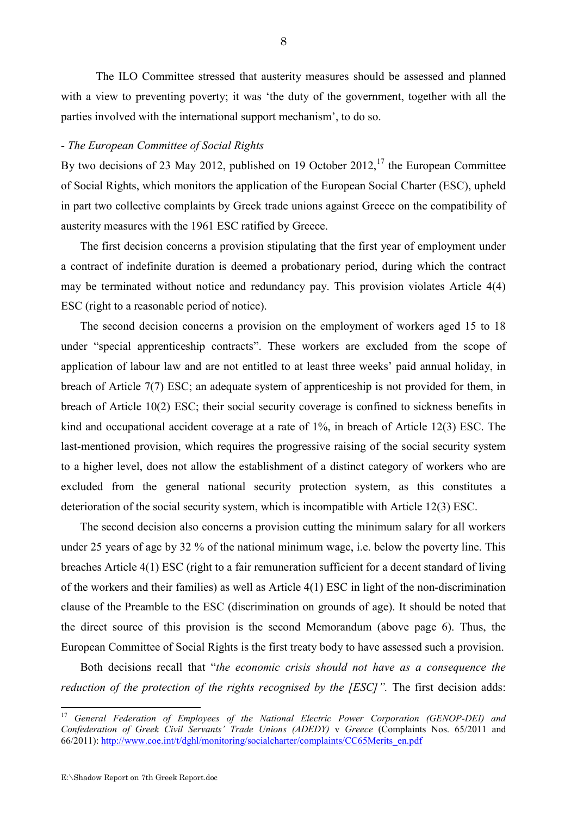The ILO Committee stressed that austerity measures should be assessed and planned with a view to preventing poverty; it was 'the duty of the government, together with all the parties involved with the international support mechanism', to do so.

### *- The European Committee of Social Rights*

By two decisions of 23 May 2012, published on 19 October 2012,  $17$  the European Committee of Social Rights, which monitors the application of the European Social Charter (ESC), upheld in part two collective complaints by Greek trade unions against Greece on the compatibility of austerity measures with the 1961 ESC ratified by Greece.

 The first decision concerns a provision stipulating that the first year of employment under a contract of indefinite duration is deemed a probationary period, during which the contract may be terminated without notice and redundancy pay. This provision violates Article 4(4) ESC (right to a reasonable period of notice).

 The second decision concerns a provision on the employment of workers aged 15 to 18 under "special apprenticeship contracts". These workers are excluded from the scope of application of labour law and are not entitled to at least three weeks' paid annual holiday, in breach of Article 7(7) ESC; an adequate system of apprenticeship is not provided for them, in breach of Article 10(2) ESC; their social security coverage is confined to sickness benefits in kind and occupational accident coverage at a rate of 1%, in breach of Article 12(3) ESC. The last-mentioned provision, which requires the progressive raising of the social security system to a higher level, does not allow the establishment of a distinct category of workers who are excluded from the general national security protection system, as this constitutes a deterioration of the social security system, which is incompatible with Article 12(3) ESC.

 The second decision also concerns a provision cutting the minimum salary for all workers under 25 years of age by 32 % of the national minimum wage, i.e. below the poverty line. This breaches Article 4(1) ESC (right to a fair remuneration sufficient for a decent standard of living of the workers and their families) as well as Article 4(1) ESC in light of the non-discrimination clause of the Preamble to the ESC (discrimination on grounds of age). It should be noted that the direct source of this provision is the second Memorandum (above page 6). Thus, the European Committee of Social Rights is the first treaty body to have assessed such a provision.

 Both decisions recall that "*the economic crisis should not have as a consequence the reduction of the protection of the rights recognised by the [ESC]"*. The first decision adds:

<u>.</u>

<sup>17</sup> *General Federation of Employees of the National Electric Power Corporation (GENOP-DEI) and Confederation of Greek Civil Servants' Trade Unions (ADEDY)* v *Greece* (Complaints Nos. 65/2011 and 66/2011): http://www.coe.int/t/dghl/monitoring/socialcharter/complaints/CC65Merits\_en.pdf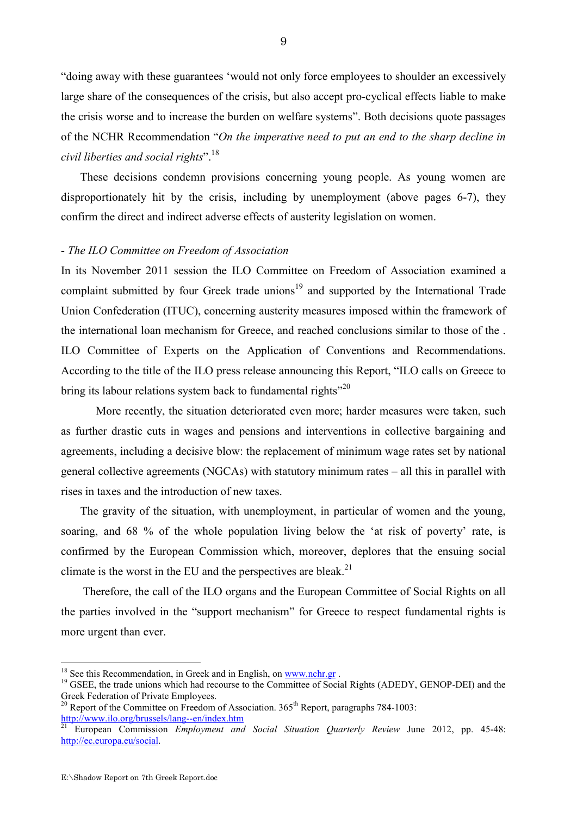"doing away with these guarantees 'would not only force employees to shoulder an excessively large share of the consequences of the crisis, but also accept pro-cyclical effects liable to make the crisis worse and to increase the burden on welfare systems". Both decisions quote passages of the NCHR Recommendation "*On the imperative need to put an end to the sharp decline in civil liberties and social rights*".<sup>18</sup>

 These decisions condemn provisions concerning young people. As young women are disproportionately hit by the crisis, including by unemployment (above pages 6-7), they confirm the direct and indirect adverse effects of austerity legislation on women.

### *- The ILO Committee on Freedom of Association*

In its November 2011 session the ILO Committee on Freedom of Association examined a complaint submitted by four Greek trade unions<sup>19</sup> and supported by the International Trade Union Confederation (ITUC), concerning austerity measures imposed within the framework of the international loan mechanism for Greece, and reached conclusions similar to those of the . ILO Committee of Experts on the Application of Conventions and Recommendations. According to the title of the ILO press release announcing this Report, "ILO calls on Greece to bring its labour relations system back to fundamental rights<sup>"20</sup>

 More recently, the situation deteriorated even more; harder measures were taken, such as further drastic cuts in wages and pensions and interventions in collective bargaining and agreements, including a decisive blow: the replacement of minimum wage rates set by national general collective agreements (NGCAs) with statutory minimum rates – all this in parallel with rises in taxes and the introduction of new taxes.

 The gravity of the situation, with unemployment, in particular of women and the young, soaring, and 68 % of the whole population living below the 'at risk of poverty' rate, is confirmed by the European Commission which, moreover, deplores that the ensuing social climate is the worst in the EU and the perspectives are bleak.<sup>21</sup>

Therefore, the call of the ILO organs and the European Committee of Social Rights on all the parties involved in the "support mechanism" for Greece to respect fundamental rights is more urgent than ever.

 $18$  See this Recommendation, in Greek and in English, on www.nchr.gr.

<sup>&</sup>lt;sup>19</sup> GSEE, the trade unions which had recourse to the Committee of Social Rights (ADEDY, GENOP-DEI) and the Greek Federation of Private Employees.

<sup>&</sup>lt;sup>20</sup> Report of the Committee on Freedom of Association.  $365<sup>th</sup>$  Report, paragraphs 784-1003: http://www.ilo.org/brussels/lang--en/index.htm

<sup>&</sup>lt;sup>21</sup> European Commission *Employment and Social Situation Quarterly Review June 2012*, pp. 45-48: http://ec.europa.eu/social.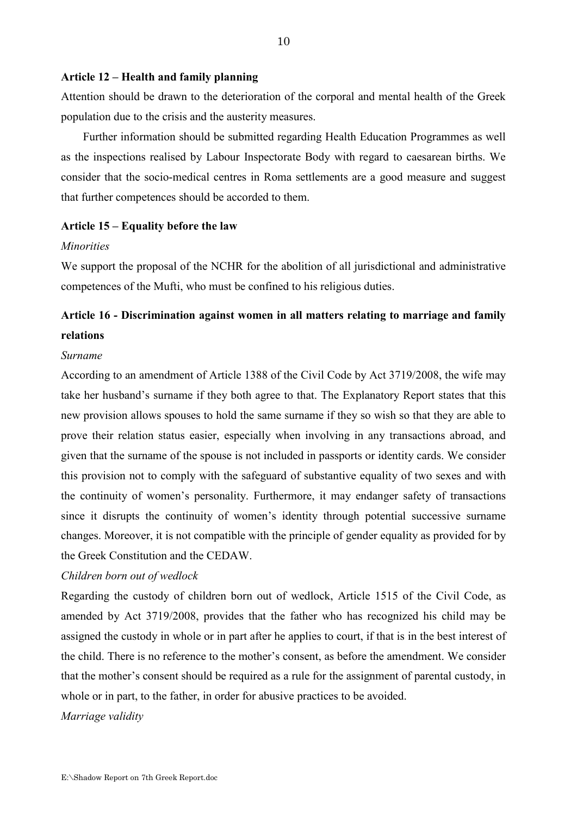#### **Article 12 – Health and family planning**

Attention should be drawn to the deterioration of the corporal and mental health of the Greek population due to the crisis and the austerity measures.

Further information should be submitted regarding Health Education Programmes as well as the inspections realised by Labour Inspectorate Body with regard to caesarean births. We consider that the socio-medical centres in Roma settlements are a good measure and suggest that further competences should be accorded to them.

### **Article 15 – Equality before the law**

#### *Minorities*

We support the proposal of the NCHR for the abolition of all jurisdictional and administrative competences of the Mufti, who must be confined to his religious duties.

# **Article 16 - Discrimination against women in all matters relating to marriage and family relations**

#### *Surname*

According to an amendment of Article 1388 of the Civil Code by Act 3719/2008, the wife may take her husband's surname if they both agree to that. The Explanatory Report states that this new provision allows spouses to hold the same surname if they so wish so that they are able to prove their relation status easier, especially when involving in any transactions abroad, and given that the surname of the spouse is not included in passports or identity cards. We consider this provision not to comply with the safeguard of substantive equality of two sexes and with the continuity of women's personality. Furthermore, it may endanger safety of transactions since it disrupts the continuity of women's identity through potential successive surname changes. Moreover, it is not compatible with the principle of gender equality as provided for by the Greek Constitution and the CEDAW.

#### *Children born out of wedlock*

Regarding the custody of children born out of wedlock, Article 1515 of the Civil Code, as amended by Act 3719/2008, provides that the father who has recognized his child may be assigned the custody in whole or in part after he applies to court, if that is in the best interest of the child. There is no reference to the mother's consent, as before the amendment. We consider that the mother's consent should be required as a rule for the assignment of parental custody, in whole or in part, to the father, in order for abusive practices to be avoided.

*Marriage validity*